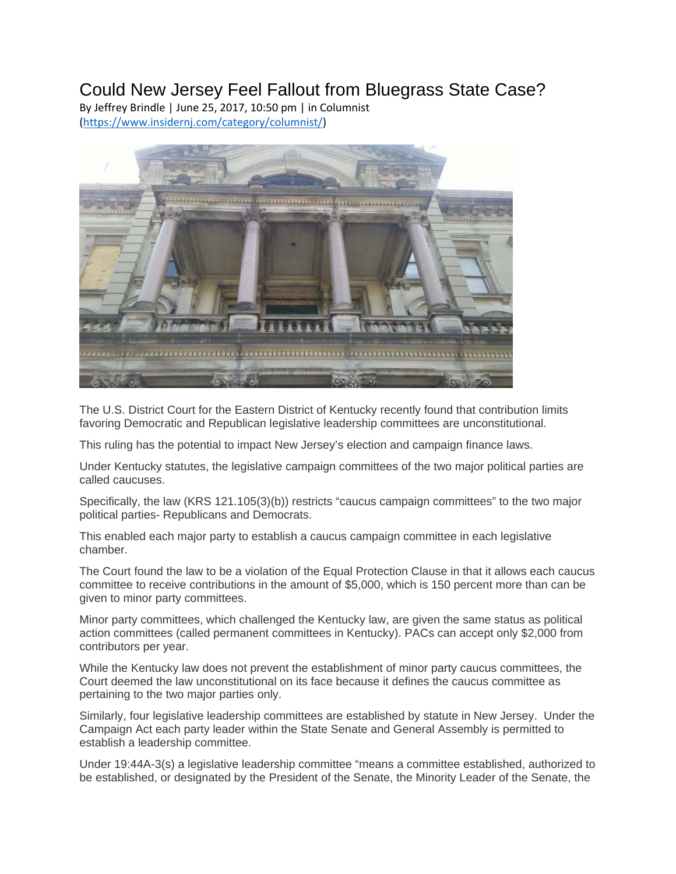## Could New Jersey Feel Fallout from Bluegrass State Case?

By Jeffrey Brindle | June 25, 2017, 10:50 pm | in Columnist (https://www.insidernj.com/category/columnist/)



The U.S. District Court for the Eastern District of Kentucky recently found that contribution limits favoring Democratic and Republican legislative leadership committees are unconstitutional.

This ruling has the potential to impact New Jersey's election and campaign finance laws.

Under Kentucky statutes, the legislative campaign committees of the two major political parties are called caucuses.

Specifically, the law (KRS 121.105(3)(b)) restricts "caucus campaign committees" to the two major political parties- Republicans and Democrats.

This enabled each major party to establish a caucus campaign committee in each legislative chamber.

The Court found the law to be a violation of the Equal Protection Clause in that it allows each caucus committee to receive contributions in the amount of \$5,000, which is 150 percent more than can be given to minor party committees.

Minor party committees, which challenged the Kentucky law, are given the same status as political action committees (called permanent committees in Kentucky). PACs can accept only \$2,000 from contributors per year.

While the Kentucky law does not prevent the establishment of minor party caucus committees, the Court deemed the law unconstitutional on its face because it defines the caucus committee as pertaining to the two major parties only.

Similarly, four legislative leadership committees are established by statute in New Jersey. Under the Campaign Act each party leader within the State Senate and General Assembly is permitted to establish a leadership committee.

Under 19:44A-3(s) a legislative leadership committee "means a committee established, authorized to be established, or designated by the President of the Senate, the Minority Leader of the Senate, the